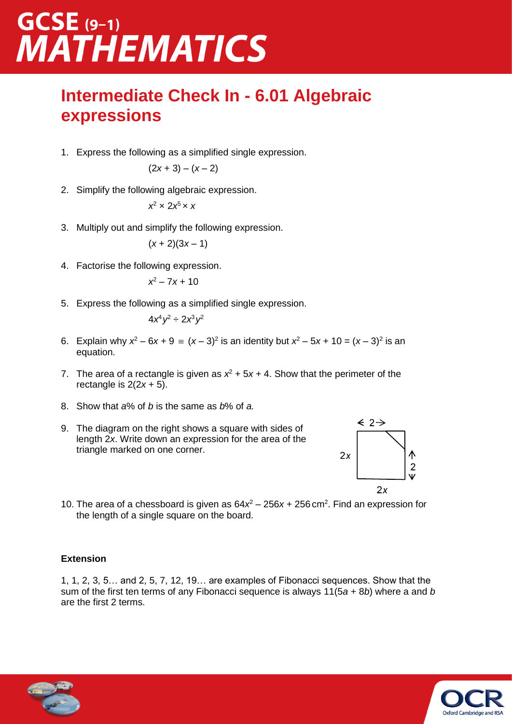# GCSE (9-1)<br>MATHEMATICS

#### **Intermediate Check In - 6.01 Algebraic expressions**

1. Express the following as a simplified single expression.

$$
(2x+3)-(x-2)
$$

2. Simplify the following algebraic expression.

$$
x^2 \times 2x^5 \times x
$$

3. Multiply out and simplify the following expression.

$$
(x+2)(3x-1)
$$

4. Factorise the following expression.

$$
x^2-7x+10
$$

5. Express the following as a simplified single expression.

$$
4x^4y^2 \div 2x^3y^2
$$

- 6. Explain why  $x^2 6x + 9 = (x 3)^2$  is an identity but  $x^2 5x + 10 = (x 3)^2$  is an equation.
- 7. The area of a rectangle is given as  $x^2 + 5x + 4$ . Show that the perimeter of the rectangle is  $2(2x + 5)$ .
- 8. Show that *a*% of *b* is the same as *b*% of *a.*
- 9. The diagram on the right shows a square with sides of length 2*x*. Write down an expression for the area of the triangle marked on one corner.



10. The area of a chessboard is given as 64*x* <sup>2</sup> – 256*x* + 256 cm<sup>2</sup> . Find an expression for the length of a single square on the board.

#### **Extension**

1, 1, 2, 3, 5… and 2, 5, 7, 12, 19… are examples of Fibonacci sequences. Show that the sum of the first ten terms of any Fibonacci sequence is always 11(5*a* + 8*b*) where a and *b* are the first 2 terms.



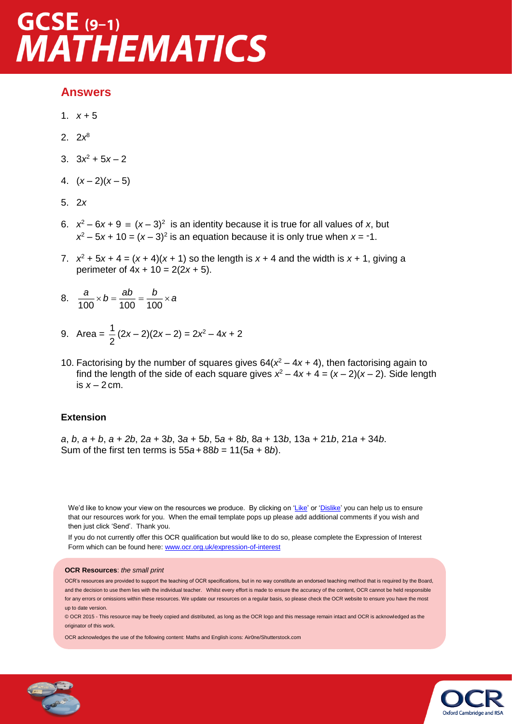### $GCSE$  (9-1) **MATHEMATICS**

#### **Answers**

- 1.  $x + 5$
- 2. 2*x* 8
- 3.  $3x^2 + 5x 2$
- 4.  $(x-2)(x-5)$
- 5. 2*x*
- 6.  $x^2 6x + 9 = (x 3)^2$  is an identity because it is true for all values of *x*, but  $x^2 - 5x + 10 = (x - 3)^2$  is an equation because it is only true when  $x = -1$ .
- 7.  $x^2 + 5x + 4 = (x + 4)(x + 1)$  so the length is  $x + 4$  and the width is  $x + 1$ , giving a perimeter of  $4x + 10 = 2(2x + 5)$ .
- 8.  $\frac{a}{100} \times b = \frac{ab}{100} = \frac{b}{100} \times a$
- 9. Area =  $\frac{1}{2}$  $\frac{1}{2}(2x-2)(2x-2) = 2x^2 - 4x + 2$
- 10. Factorising by the number of squares gives  $64(x^2 4x + 4)$ , then factorising again to find the length of the side of each square gives  $x^2 - 4x + 4 = (x - 2)(x - 2)$ . Side length is  $x - 2$  cm.

#### **Extension**

*a*, *b*, *a + b*, *a + 2b*, 2*a* + 3*b*, 3*a* + 5*b*, 5*a* + 8*b*, 8*a* + 13*b*, 13a *+* 21*b*, 21*a +* 34*b*. Sum of the first ten terms is 55*a*+ 88*b* = 11(5*a +* 8*b*).

We'd like to know your view on the resources we produce. By clicking on ['Like'](mailto:resources.feedback@ocr.org.uk?subject=I%20liked%20the%20GCSE%20(9-1)%20Mathematics%20Foundation%20Check%20in%206.01%20Algebraic%20expressions) or ['Dislike'](mailto:resources.feedback@ocr.org.uk?subject=I%20disliked%20the%20GCSE%20(9-1)%20Mathematics%20Foundation%20Check%20in%206.01%20Algebraic%20expressions) you can help us to ensure that our resources work for you. When the email template pops up please add additional comments if you wish and then just click 'Send'. Thank you.

If you do not currently offer this OCR qualification but would like to do so, please complete the Expression of Interest Form which can be found here: [www.ocr.org.uk/expression-of-interest](http://www.ocr.org.uk/expression-of-interest)

#### **OCR Resources**: *the small print*

OCR's resources are provided to support the teaching of OCR specifications, but in no way constitute an endorsed teaching method that is required by the Board, and the decision to use them lies with the individual teacher. Whilst every effort is made to ensure the accuracy of the content, OCR cannot be held responsible for any errors or omissions within these resources. We update our resources on a regular basis, so please check the OCR website to ensure you have the most up to date version.

© OCR 2015 - This resource may be freely copied and distributed, as long as the OCR logo and this message remain intact and OCR is acknowledged as the originator of this work.

OCR acknowledges the use of the following content: Maths and English icons: Air0ne/Shutterstock.com